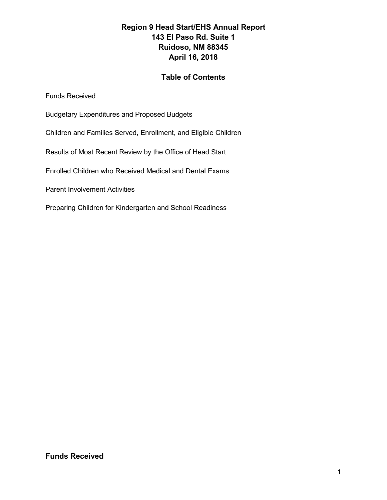#### **Region 9 Head Start/EHS Annual Report 143 El Paso Rd. Suite 1 Ruidoso, NM 88345 April 16, 2018**

#### **Table of Contents**

Funds Received

- Budgetary Expenditures and Proposed Budgets
- Children and Families Served, Enrollment, and Eligible Children
- Results of Most Recent Review by the Office of Head Start
- Enrolled Children who Received Medical and Dental Exams
- Parent Involvement Activities
- Preparing Children for Kindergarten and School Readiness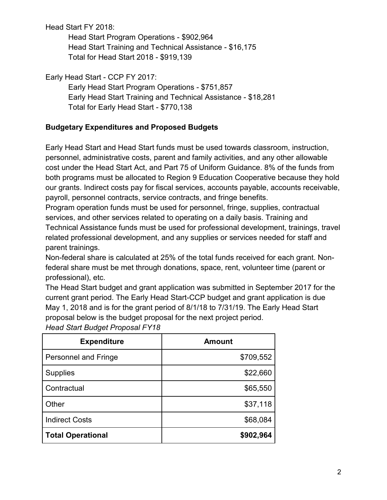Head Start FY 2018:

Head Start Program Operations - \$902,964 Head Start Training and Technical Assistance - \$16,175 Total for Head Start 2018 - \$919,139

Early Head Start - CCP FY 2017:

Early Head Start Program Operations - \$751,857 Early Head Start Training and Technical Assistance - \$18,281 Total for Early Head Start - \$770,138

# **Budgetary Expenditures and Proposed Budgets**

Early Head Start and Head Start funds must be used towards classroom, instruction, personnel, administrative costs, parent and family activities, and any other allowable cost under the Head Start Act, and Part 75 of Uniform Guidance. 8% of the funds from both programs must be allocated to Region 9 Education Cooperative because they hold our grants. Indirect costs pay for fiscal services, accounts payable, accounts receivable, payroll, personnel contracts, service contracts, and fringe benefits.

Program operation funds must be used for personnel, fringe, supplies, contractual services, and other services related to operating on a daily basis. Training and Technical Assistance funds must be used for professional development, trainings, travel related professional development, and any supplies or services needed for staff and parent trainings.

Non-federal share is calculated at 25% of the total funds received for each grant. Nonfederal share must be met through donations, space, rent, volunteer time (parent or professional), etc.

The Head Start budget and grant application was submitted in September 2017 for the current grant period. The Early Head Start-CCP budget and grant application is due May 1, 2018 and is for the grant period of 8/1/18 to 7/31/19. The Early Head Start proposal below is the budget proposal for the next project period.

| <b>Expenditure</b>          | <b>Amount</b> |
|-----------------------------|---------------|
| <b>Personnel and Fringe</b> | \$709,552     |
| <b>Supplies</b>             | \$22,660      |
| Contractual                 | \$65,550      |
| Other                       | \$37,118      |
| <b>Indirect Costs</b>       | \$68,084      |
| <b>Total Operational</b>    | \$902,964     |

*Head Start Budget Proposal FY18*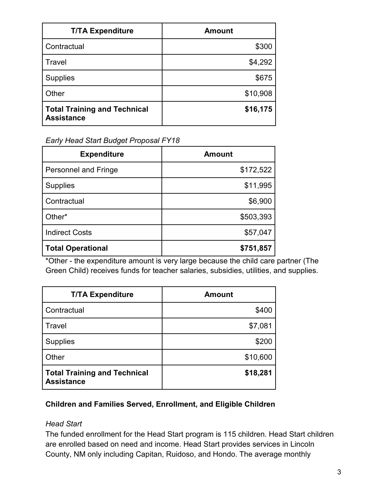| <b>T/TA Expenditure</b>                                  | <b>Amount</b> |
|----------------------------------------------------------|---------------|
| Contractual                                              | \$300         |
| Travel                                                   | \$4,292       |
| <b>Supplies</b>                                          | \$675         |
| Other                                                    | \$10,908      |
| <b>Total Training and Technical</b><br><b>Assistance</b> | \$16,175      |

*Early Head Start Budget Proposal FY18*

| <b>Expenditure</b>          | <b>Amount</b> |
|-----------------------------|---------------|
| <b>Personnel and Fringe</b> | \$172,522     |
| <b>Supplies</b>             | \$11,995      |
| Contractual                 | \$6,900       |
| Other*                      | \$503,393     |
| <b>Indirect Costs</b>       | \$57,047      |
| <b>Total Operational</b>    | \$751,857     |

\*Other - the expenditure amount is very large because the child care partner (The Green Child) receives funds for teacher salaries, subsidies, utilities, and supplies.

| <b>T/TA Expenditure</b>                                  | <b>Amount</b> |
|----------------------------------------------------------|---------------|
| Contractual                                              | \$400         |
| Travel                                                   | \$7,081       |
| <b>Supplies</b>                                          | \$200         |
| Other                                                    | \$10,600      |
| <b>Total Training and Technical</b><br><b>Assistance</b> | \$18,281      |

### **Children and Families Served, Enrollment, and Eligible Children**

### *Head Start*

The funded enrollment for the Head Start program is 115 children. Head Start children are enrolled based on need and income. Head Start provides services in Lincoln County, NM only including Capitan, Ruidoso, and Hondo. The average monthly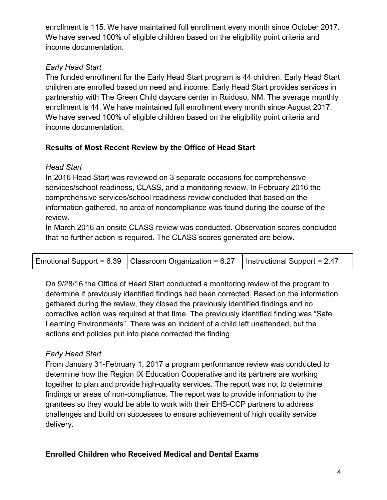enrollment is 115. We have maintained full enrollment every month since October 2017. We have served 100% of eligible children based on the eligibility point criteria and income documentation.

## *Early Head Start*

The funded enrollment for the Early Head Start program is 44 children. Early Head Start children are enrolled based on need and income. Early Head Start provides services in partnership with The Green Child daycare center in Ruidoso, NM. The average monthly enrollment is 44. We have maintained full enrollment every month since August 2017. We have served 100% of eligible children based on the eligibility point criteria and income documentation.

# **Results of Most Recent Review by the Office of Head Start**

### *Head Start*

In 2016 Head Start was reviewed on 3 separate occasions for comprehensive services/school readiness, CLASS, and a monitoring review. In February 2016 the comprehensive services/school readiness review concluded that based on the information gathered, no area of noncompliance was found during the course of the review.

In March 2016 an onsite CLASS review was conducted. Observation scores concluded that no further action is required. The CLASS scores generated are below.

|  | Emotional Support = $6.39$   Classroom Organization = $6.27$   Instructional Support = 2.47 |  |
|--|---------------------------------------------------------------------------------------------|--|
|--|---------------------------------------------------------------------------------------------|--|

On 9/28/16 the Office of Head Start conducted a monitoring review of the program to determine if previously identified findings had been corrected. Based on the information gathered during the review, they closed the previously identified findings and no corrective action was required at that time. The previously identified finding was "Safe Learning Environments". There was an incident of a child left unattended, but the actions and policies put into place corrected the finding.

# *Early Head Start*

From January 31-February 1, 2017 a program performance review was conducted to determine how the Region IX Education Cooperative and its partners are working together to plan and provide high-quality services. The report was not to determine findings or areas of non-compliance. The report was to provide information to the grantees so they would be able to work with their EHS-CCP partners to address challenges and build on successes to ensure achievement of high quality service delivery.

### **Enrolled Children who Received Medical and Dental Exams**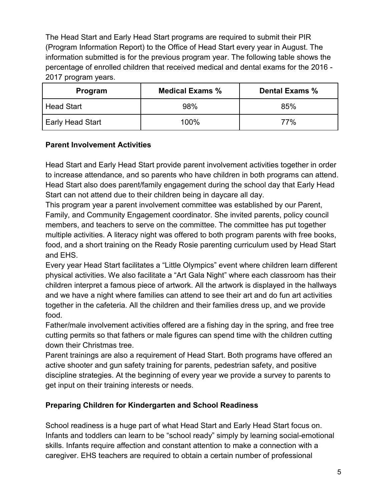The Head Start and Early Head Start programs are required to submit their PIR (Program Information Report) to the Office of Head Start every year in August. The information submitted is for the previous program year. The following table shows the percentage of enrolled children that received medical and dental exams for the 2016 - 2017 program years.

| Program                 | <b>Medical Exams %</b> | Dental Exams % |
|-------------------------|------------------------|----------------|
| <b>Head Start</b>       | 98%                    | 85%            |
| <b>Early Head Start</b> | 100%                   | 77%            |

### **Parent Involvement Activities**

Head Start and Early Head Start provide parent involvement activities together in order to increase attendance, and so parents who have children in both programs can attend. Head Start also does parent/family engagement during the school day that Early Head Start can not attend due to their children being in daycare all day.

This program year a parent involvement committee was established by our Parent, Family, and Community Engagement coordinator. She invited parents, policy council members, and teachers to serve on the committee. The committee has put together multiple activities. A literacy night was offered to both program parents with free books, food, and a short training on the Ready Rosie parenting curriculum used by Head Start and EHS.

Every year Head Start facilitates a "Little Olympics" event where children learn different physical activities. We also facilitate a "Art Gala Night" where each classroom has their children interpret a famous piece of artwork. All the artwork is displayed in the hallways and we have a night where families can attend to see their art and do fun art activities together in the cafeteria. All the children and their families dress up, and we provide food.

Father/male involvement activities offered are a fishing day in the spring, and free tree cutting permits so that fathers or male figures can spend time with the children cutting down their Christmas tree.

Parent trainings are also a requirement of Head Start. Both programs have offered an active shooter and gun safety training for parents, pedestrian safety, and positive discipline strategies. At the beginning of every year we provide a survey to parents to get input on their training interests or needs.

### **Preparing Children for Kindergarten and School Readiness**

School readiness is a huge part of what Head Start and Early Head Start focus on. Infants and toddlers can learn to be "school ready" simply by learning social-emotional skills. Infants require affection and constant attention to make a connection with a caregiver. EHS teachers are required to obtain a certain number of professional